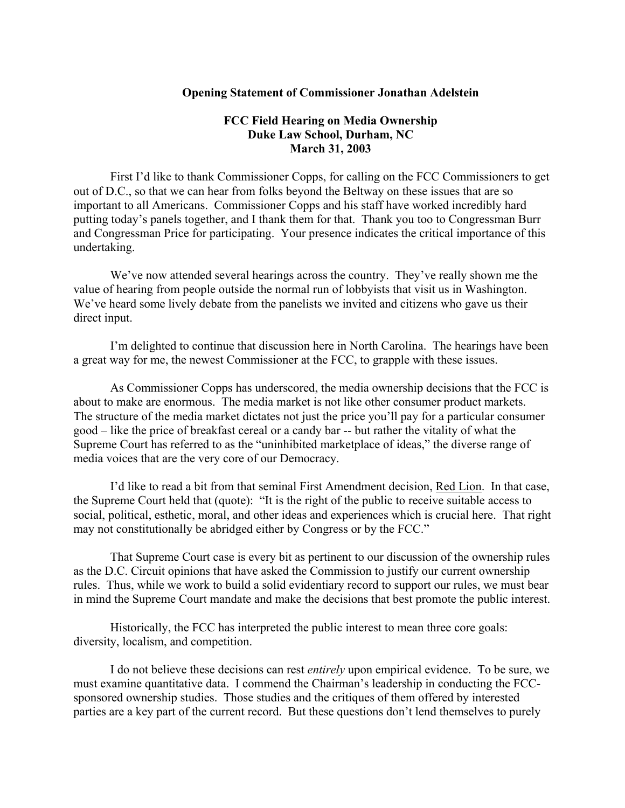## **Opening Statement of Commissioner Jonathan Adelstein**

## **FCC Field Hearing on Media Ownership Duke Law School, Durham, NC March 31, 2003**

First I'd like to thank Commissioner Copps, for calling on the FCC Commissioners to get out of D.C., so that we can hear from folks beyond the Beltway on these issues that are so important to all Americans. Commissioner Copps and his staff have worked incredibly hard putting today's panels together, and I thank them for that. Thank you too to Congressman Burr and Congressman Price for participating. Your presence indicates the critical importance of this undertaking.

We've now attended several hearings across the country. They've really shown me the value of hearing from people outside the normal run of lobbyists that visit us in Washington. We've heard some lively debate from the panelists we invited and citizens who gave us their direct input.

I'm delighted to continue that discussion here in North Carolina. The hearings have been a great way for me, the newest Commissioner at the FCC, to grapple with these issues.

As Commissioner Copps has underscored, the media ownership decisions that the FCC is about to make are enormous. The media market is not like other consumer product markets. The structure of the media market dictates not just the price you'll pay for a particular consumer good – like the price of breakfast cereal or a candy bar -- but rather the vitality of what the Supreme Court has referred to as the "uninhibited marketplace of ideas," the diverse range of media voices that are the very core of our Democracy.

I'd like to read a bit from that seminal First Amendment decision, Red Lion. In that case, the Supreme Court held that (quote): "It is the right of the public to receive suitable access to social, political, esthetic, moral, and other ideas and experiences which is crucial here. That right may not constitutionally be abridged either by Congress or by the FCC."

That Supreme Court case is every bit as pertinent to our discussion of the ownership rules as the D.C. Circuit opinions that have asked the Commission to justify our current ownership rules. Thus, while we work to build a solid evidentiary record to support our rules, we must bear in mind the Supreme Court mandate and make the decisions that best promote the public interest.

Historically, the FCC has interpreted the public interest to mean three core goals: diversity, localism, and competition.

I do not believe these decisions can rest *entirely* upon empirical evidence. To be sure, we must examine quantitative data. I commend the Chairman's leadership in conducting the FCCsponsored ownership studies. Those studies and the critiques of them offered by interested parties are a key part of the current record. But these questions don't lend themselves to purely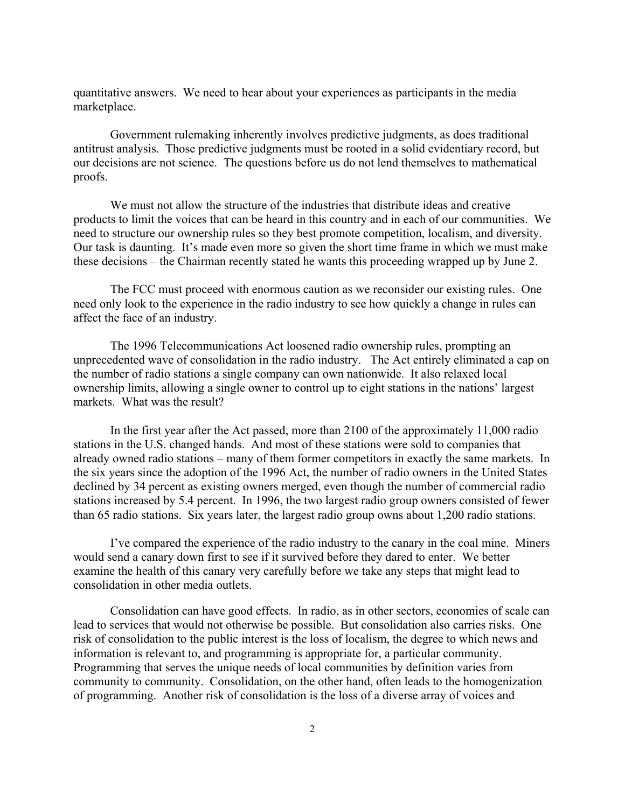quantitative answers. We need to hear about your experiences as participants in the media marketplace.

Government rulemaking inherently involves predictive judgments, as does traditional antitrust analysis. Those predictive judgments must be rooted in a solid evidentiary record, but our decisions are not science. The questions before us do not lend themselves to mathematical proofs.

We must not allow the structure of the industries that distribute ideas and creative products to limit the voices that can be heard in this country and in each of our communities. We need to structure our ownership rules so they best promote competition, localism, and diversity. Our task is daunting. It's made even more so given the short time frame in which we must make these decisions – the Chairman recently stated he wants this proceeding wrapped up by June 2.

The FCC must proceed with enormous caution as we reconsider our existing rules. One need only look to the experience in the radio industry to see how quickly a change in rules can affect the face of an industry.

The 1996 Telecommunications Act loosened radio ownership rules, prompting an unprecedented wave of consolidation in the radio industry. The Act entirely eliminated a cap on the number of radio stations a single company can own nationwide. It also relaxed local ownership limits, allowing a single owner to control up to eight stations in the nations' largest markets. What was the result?

 In the first year after the Act passed, more than 2100 of the approximately 11,000 radio stations in the U.S. changed hands. And most of these stations were sold to companies that already owned radio stations – many of them former competitors in exactly the same markets. In the six years since the adoption of the 1996 Act, the number of radio owners in the United States declined by 34 percent as existing owners merged, even though the number of commercial radio stations increased by 5.4 percent. In 1996, the two largest radio group owners consisted of fewer than 65 radio stations. Six years later, the largest radio group owns about 1,200 radio stations.

 I've compared the experience of the radio industry to the canary in the coal mine. Miners would send a canary down first to see if it survived before they dared to enter. We better examine the health of this canary very carefully before we take any steps that might lead to consolidation in other media outlets.

Consolidation can have good effects. In radio, as in other sectors, economies of scale can lead to services that would not otherwise be possible. But consolidation also carries risks. One risk of consolidation to the public interest is the loss of localism, the degree to which news and information is relevant to, and programming is appropriate for, a particular community. Programming that serves the unique needs of local communities by definition varies from community to community. Consolidation, on the other hand, often leads to the homogenization of programming. Another risk of consolidation is the loss of a diverse array of voices and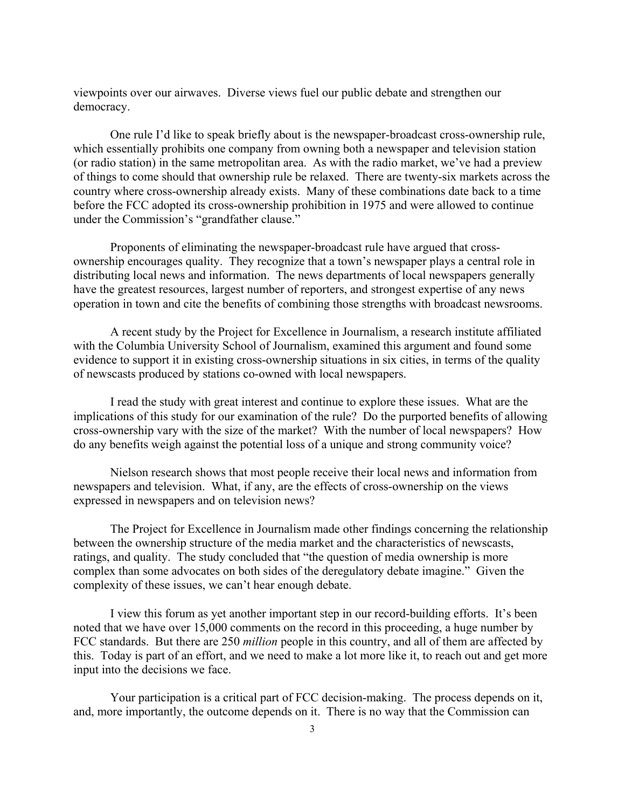viewpoints over our airwaves. Diverse views fuel our public debate and strengthen our democracy.

One rule I'd like to speak briefly about is the newspaper-broadcast cross-ownership rule, which essentially prohibits one company from owning both a newspaper and television station (or radio station) in the same metropolitan area. As with the radio market, we've had a preview of things to come should that ownership rule be relaxed. There are twenty-six markets across the country where cross-ownership already exists. Many of these combinations date back to a time before the FCC adopted its cross-ownership prohibition in 1975 and were allowed to continue under the Commission's "grandfather clause."

Proponents of eliminating the newspaper-broadcast rule have argued that crossownership encourages quality. They recognize that a town's newspaper plays a central role in distributing local news and information. The news departments of local newspapers generally have the greatest resources, largest number of reporters, and strongest expertise of any news operation in town and cite the benefits of combining those strengths with broadcast newsrooms.

A recent study by the Project for Excellence in Journalism, a research institute affiliated with the Columbia University School of Journalism, examined this argument and found some evidence to support it in existing cross-ownership situations in six cities, in terms of the quality of newscasts produced by stations co-owned with local newspapers.

I read the study with great interest and continue to explore these issues. What are the implications of this study for our examination of the rule? Do the purported benefits of allowing cross-ownership vary with the size of the market? With the number of local newspapers? How do any benefits weigh against the potential loss of a unique and strong community voice?

Nielson research shows that most people receive their local news and information from newspapers and television. What, if any, are the effects of cross-ownership on the views expressed in newspapers and on television news?

The Project for Excellence in Journalism made other findings concerning the relationship between the ownership structure of the media market and the characteristics of newscasts, ratings, and quality. The study concluded that "the question of media ownership is more complex than some advocates on both sides of the deregulatory debate imagine." Given the complexity of these issues, we can't hear enough debate.

 I view this forum as yet another important step in our record-building efforts. It's been noted that we have over 15,000 comments on the record in this proceeding, a huge number by FCC standards. But there are 250 *million* people in this country, and all of them are affected by this. Today is part of an effort, and we need to make a lot more like it, to reach out and get more input into the decisions we face.

Your participation is a critical part of FCC decision-making. The process depends on it, and, more importantly, the outcome depends on it. There is no way that the Commission can